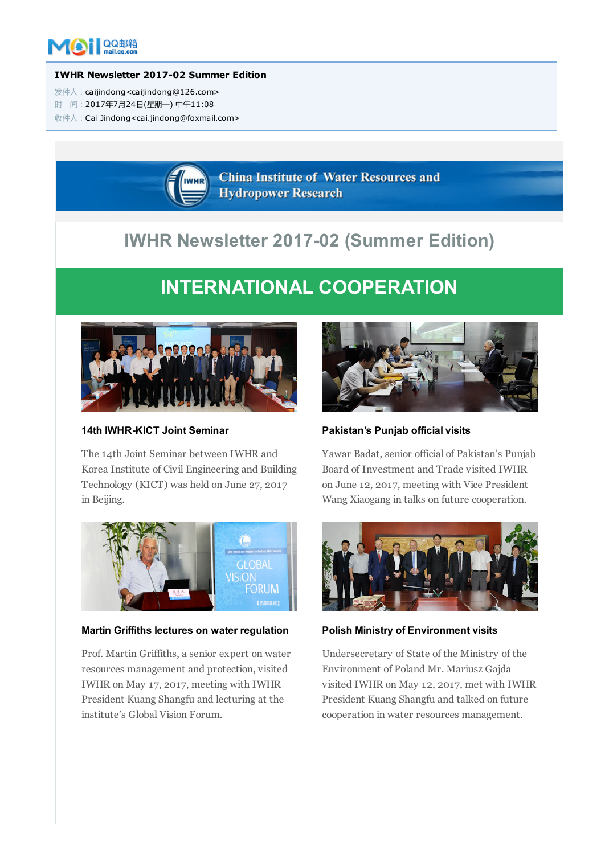

#### IWHR Newsletter 2017-02 Summer Edition

- 发件人:caijindong<caijindong@126.com>
- 时 间:2017年7月24日(星期一) 中午11:08

收件人:Cai Jindong<cai.jindong@foxmail.com>

**China Institute of Water Resources and Hydropower Research** 

# IWHR Newsletter 2017-02 (Summer Edition)

# INTERNATIONAL COOPERATION



# 14th IWHR-KICT Joint Seminar

The 14th Joint Seminar between IWHR and Korea Institute of Civil Engineering and Building Technology (KICT) was held on June 27, 2017 in Beijing.



# Martin Griffiths lectures on water regulation

Prof. Martin Griffiths, a senior expert on water resources management and protection, visited IWHR on May 17, 2017, meeting with IWHR President Kuang Shangfu and lecturing at the institute's Global Vision Forum.



# Pakistan's Punjab official visits

Yawar Badat, senior official of Pakistan's Punjab Board of Investment and Trade visited IWHR on June 12, 2017, meeting with Vice President Wang Xiaogang in talks on future cooperation.



Polish Ministry of Environment visits

Undersecretary of State of the Ministry of the Environment of Poland Mr. Mariusz Gajda visited IWHR on May 12, 2017, met with IWHR President Kuang Shangfu and talked on future cooperation in water resources management.